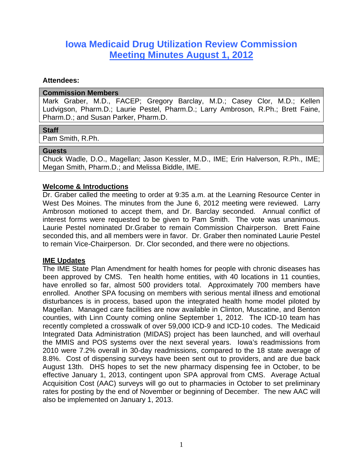# **Iowa Medicaid Drug Utilization Review Commission Meeting Minutes August 1, 2012**

#### **Attendees:**

#### **Commission Members**

Mark Graber, M.D., FACEP; Gregory Barclay, M.D.; Casey Clor, M.D.; Kellen Ludvigson, Pharm.D.; Laurie Pestel, Pharm.D.; Larry Ambroson, R.Ph.; Brett Faine, Pharm.D.; and Susan Parker, Pharm.D.

## **Staff**

Pam Smith, R.Ph.

## **Guests**

Chuck Wadle, D.O., Magellan; Jason Kessler, M.D., IME; Erin Halverson, R.Ph., IME; Megan Smith, Pharm.D.; and Melissa Biddle, IME.

# **Welcome & Introductions**

Dr. Graber called the meeting to order at 9:35 a.m. at the Learning Resource Center in West Des Moines. The minutes from the June 6, 2012 meeting were reviewed. Larry Ambroson motioned to accept them, and Dr. Barclay seconded. Annual conflict of interest forms were requested to be given to Pam Smith. The vote was unanimous. Laurie Pestel nominated Dr.Graber to remain Commission Chairperson. Brett Faine seconded this, and all members were in favor. Dr. Graber then nominated Laurie Pestel to remain Vice-Chairperson. Dr. Clor seconded, and there were no objections.

# **IME Updates**

The IME State Plan Amendment for health homes for people with chronic diseases has been approved by CMS. Ten health home entities, with 40 locations in 11 counties, have enrolled so far, almost 500 providers total. Approximately 700 members have enrolled. Another SPA focusing on members with serious mental illness and emotional disturbances is in process, based upon the integrated health home model piloted by Magellan. Managed care facilities are now available in Clinton, Muscatine, and Benton counties, with Linn County coming online September 1, 2012. The ICD-10 team has recently completed a crosswalk of over 59,000 ICD-9 and ICD-10 codes. The Medicaid Integrated Data Administration (MIDAS) project has been launched, and will overhaul the MMIS and POS systems over the next several years. Iowa's readmissions from 2010 were 7.2% overall in 30-day readmissions, compared to the 18 state average of 8.8%. Cost of dispensing surveys have been sent out to providers, and are due back August 13th. DHS hopes to set the new pharmacy dispensing fee in October, to be effective January 1, 2013, contingent upon SPA approval from CMS. Average Actual Acquisition Cost (AAC) surveys will go out to pharmacies in October to set preliminary rates for posting by the end of November or beginning of December. The new AAC will also be implemented on January 1, 2013.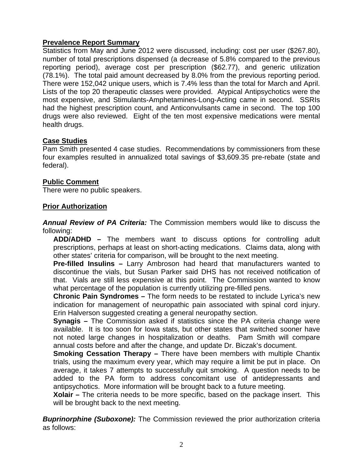# **Prevalence Report Summary**

Statistics from May and June 2012 were discussed, including: cost per user (\$267.80), number of total prescriptions dispensed (a decrease of 5.8% compared to the previous reporting period), average cost per prescription (\$62.77), and generic utilization (78.1%). The total paid amount decreased by 8.0% from the previous reporting period. There were 152,042 unique users, which is 7.4% less than the total for March and April. Lists of the top 20 therapeutic classes were provided. Atypical Antipsychotics were the most expensive, and Stimulants-Amphetamines-Long-Acting came in second. SSRIs had the highest prescription count, and Anticonvulsants came in second. The top 100 drugs were also reviewed. Eight of the ten most expensive medications were mental health drugs.

# **Case Studies**

Pam Smith presented 4 case studies. Recommendations by commissioners from these four examples resulted in annualized total savings of \$3,609.35 pre-rebate (state and federal).

## **Public Comment**

There were no public speakers.

## **Prior Authorization**

*Annual Review of PA Criteria:* The Commission members would like to discuss the following:

**ADD/ADHD –** The members want to discuss options for controlling adult prescriptions, perhaps at least on short-acting medications. Claims data, along with other states' criteria for comparison, will be brought to the next meeting.

**Pre-filled Insulins –** Larry Ambroson had heard that manufacturers wanted to discontinue the vials, but Susan Parker said DHS has not received notification of that. Vials are still less expensive at this point. The Commission wanted to know what percentage of the population is currently utilizing pre-filled pens.

**Chronic Pain Syndromes –** The form needs to be restated to include Lyrica's new indication for management of neuropathic pain associated with spinal cord injury. Erin Halverson suggested creating a general neuropathy section.

**Synagis –** The Commission asked if statistics since the PA criteria change were available. It is too soon for Iowa stats, but other states that switched sooner have not noted large changes in hospitalization or deaths. Pam Smith will compare annual costs before and after the change, and update Dr. Biczak's document.

**Smoking Cessation Therapy –** There have been members with multiple Chantix trials, using the maximum every year, which may require a limit be put in place. On average, it takes 7 attempts to successfully quit smoking. A question needs to be added to the PA form to address concomitant use of antidepressants and antipsychotics. More information will be brought back to a future meeting.

**Xolair –** The criteria needs to be more specific, based on the package insert. This will be brought back to the next meeting.

**Buprinorphine (Suboxone):** The Commission reviewed the prior authorization criteria as follows: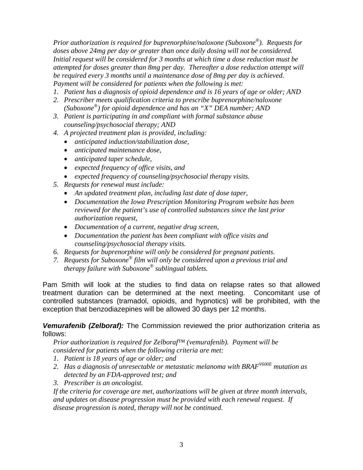*Prior authorization is required for buprenorphine/naloxone (Suboxone®). Requests for doses above 24mg per day or greater than once daily dosing will not be considered. Initial request will be considered for 3 months at which time a dose reduction must be attempted for doses greater than 8mg per day. Thereafter a dose reduction attempt will be required every 3 months until a maintenance dose of 8mg per day is achieved. Payment will be considered for patients when the following is met:* 

- *1. Patient has a diagnosis of opioid dependence and is 16 years of age or older; AND*
- *2. Prescriber meets qualification criteria to prescribe buprenorphine/naloxone (Suboxone®) for opioid dependence and has an "X" DEA number; AND*
- *3. Patient is participating in and compliant with formal substance abuse counseling/psychosocial therapy; AND*
- *4. A projected treatment plan is provided, including:* 
	- *anticipated induction/stabilization dose,*
	- *anticipated maintenance dose,*
	- *anticipated taper schedule,*
	- *expected frequency of office visits, and*
	- *expected frequency of counseling/psychosocial therapy visits.*
- *5. Requests for renewal must include:* 
	- *An updated treatment plan, including last date of dose taper,*
	- *Documentation the Iowa Prescription Monitoring Program website has been reviewed for the patient's use of controlled substances since the last prior authorization request,*
	- *Documentation of a current, negative drug screen,*
	- *Documentation the patient has been compliant with office visits and counseling/psychosocial therapy visits.*
- *6. Requests for buprenorphine will only be considered for pregnant patients.*
- *7. Requests for Suboxone® film will only be considered upon a previous trial and therapy failure with Suboxone® sublingual tablets.*

Pam Smith will look at the studies to find data on relapse rates so that allowed treatment duration can be determined at the next meeting. Concomitant use of controlled substances (tramadol, opioids, and hypnotics) will be prohibited, with the exception that benzodiazepines will be allowed 30 days per 12 months.

## *Vemurafenib (Zelboraf):* The Commission reviewed the prior authorization criteria as follows:

*Prior authorization is required for Zelboraf™ (vemurafenib). Payment will be considered for patients when the following criteria are met:* 

- *1. Patient is 18 years of age or older; and*
- *2. Has a diagnosis of unresectable or metastatic melanoma with BRAFV600E mutation as detected by an FDA-approved test; and*
- *3. Prescriber is an oncologist.*

*If the criteria for coverage are met, authorizations will be given at three month intervals, and updates on disease progression must be provided with each renewal request. If disease progression is noted, therapy will not be continued.*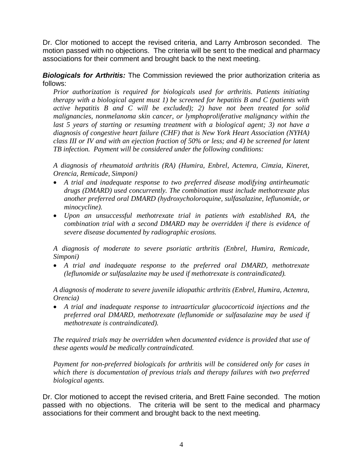Dr. Clor motioned to accept the revised criteria, and Larry Ambroson seconded. The motion passed with no objections. The criteria will be sent to the medical and pharmacy associations for their comment and brought back to the next meeting.

*Biologicals for Arthritis:* The Commission reviewed the prior authorization criteria as follows:

*Prior authorization is required for biologicals used for arthritis. Patients initiating therapy with a biological agent must 1) be screened for hepatitis B and C (patients with active hepatitis B and C will be excluded); 2) have not been treated for solid malignancies, nonmelanoma skin cancer, or lymphoproliferative malignancy within the*  last 5 years of starting or resuming treatment with a biological agent; 3) not have a *diagnosis of congestive heart failure (CHF) that is New York Heart Association (NYHA) class III or IV and with an ejection fraction of 50% or less; and 4) be screened for latent TB infection. Payment will be considered under the following conditions:* 

*A diagnosis of rheumatoid arthritis (RA) (Humira, Enbrel, Actemra, Cimzia, Kineret, Orencia, Remicade, Simponi)* 

- *A trial and inadequate response to two preferred disease modifying antirheumatic drugs (DMARD) used concurrently. The combination must include methotrexate plus another preferred oral DMARD (hydroxycholoroquine, sulfasalazine, leflunomide, or minocycline).*
- *Upon an unsuccessful methotrexate trial in patients with established RA, the combination trial with a second DMARD may be overridden if there is evidence of severe disease documented by radiographic erosions.*

*A diagnosis of moderate to severe psoriatic arthritis (Enbrel, Humira, Remicade, Simponi)* 

 *A trial and inadequate response to the preferred oral DMARD, methotrexate (leflunomide or sulfasalazine may be used if methotrexate is contraindicated).* 

*A diagnosis of moderate to severe juvenile idiopathic arthritis (Enbrel, Humira, Actemra, Orencia)* 

 *A trial and inadequate response to intraarticular glucocorticoid injections and the preferred oral DMARD, methotrexate (leflunomide or sulfasalazine may be used if methotrexate is contraindicated).* 

*The required trials may be overridden when documented evidence is provided that use of these agents would be medically contraindicated.* 

*Payment for non-preferred biologicals for arthritis will be considered only for cases in which there is documentation of previous trials and therapy failures with two preferred biological agents.* 

Dr. Clor motioned to accept the revised criteria, and Brett Faine seconded. The motion passed with no objections. The criteria will be sent to the medical and pharmacy associations for their comment and brought back to the next meeting.